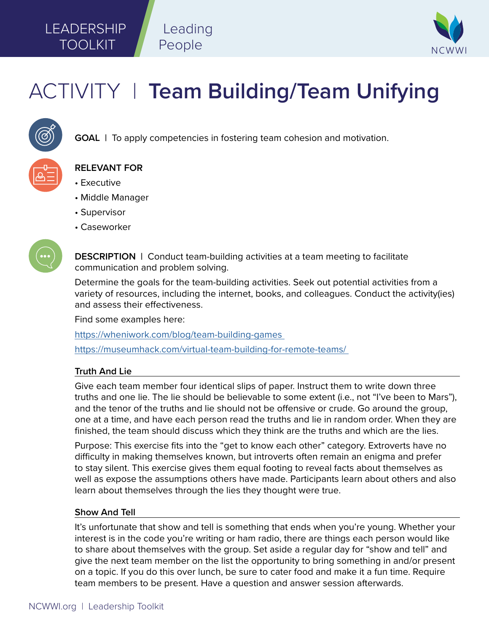## LEADERSHIP TOOLKIT



# ACTIVITY | **Team Building/Team Unifying**

Leading

People



**GOAL** | To apply competencies in fostering team cohesion and motivation.



### **RELEVANT FOR**

- Executive
- Middle Manager
- Supervisor
- Caseworker



**DESCRIPTION** | Conduct team-building activities at a team meeting to facilitate communication and problem solving.

Determine the goals for the team-building activities. Seek out potential activities from a variety of resources, including the internet, books, and colleagues. Conduct the activity(ies) and assess their effectiveness.

Find some examples here:

[https://wheniwork.com/blog/team-building-games](https://wheniwork.com/blog/team-building-games 
) 

https://museumhack.com/virtual-team-building-for-remote-teams/

### **Truth And Lie**

Give each team member four identical slips of paper. Instruct them to write down three truths and one lie. The lie should be believable to some extent (i.e., not "I've been to Mars"), and the tenor of the truths and lie should not be offensive or crude. Go around the group, one at a time, and have each person read the truths and lie in random order. When they are finished, the team should discuss which they think are the truths and which are the lies.

Purpose: This exercise fits into the "get to know each other" category. Extroverts have no difficulty in making themselves known, but introverts often remain an enigma and prefer to stay silent. This exercise gives them equal footing to reveal facts about themselves as well as expose the assumptions others have made. Participants learn about others and also learn about themselves through the lies they thought were true.

#### **Show And Tell**

It's unfortunate that show and tell is something that ends when you're young. Whether your interest is in the code you're writing or ham radio, there are things each person would like to share about themselves with the group. Set aside a regular day for "show and tell" and give the next team member on the list the opportunity to bring something in and/or present on a topic. If you do this over lunch, be sure to cater food and make it a fun time. Require team members to be present. Have a question and answer session afterwards.